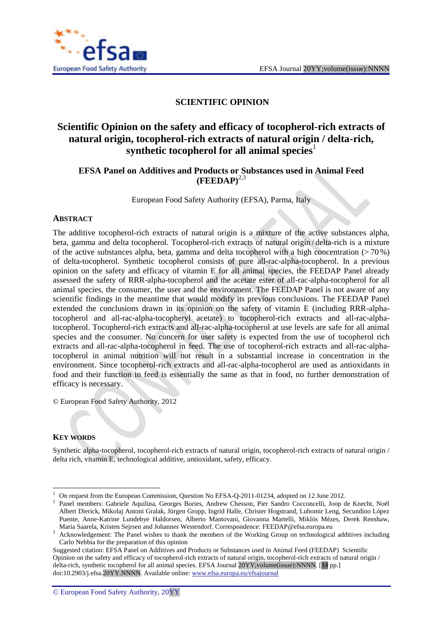

# **SCIENTIFIC OPINION**

# **Scientific Opinion on the safety and efficacy of tocopherol-rich extracts of natural origin, tocopherol-rich extracts of natural origin / delta-rich, synthetic tocopherol for all animal species**

#### **EFSA Panel on Additives and Products or Substances used in Animal Feed**   $(FEEDAP)^{2,3}$

European Food Safety Authority (EFSA), Parma, Italy

#### **ABSTRACT**

The additive tocopherol-rich extracts of natural origin is a mixture of the active substances alpha, beta, gamma and delta tocopherol. Tocopherol-rich extracts of natural origin / delta-rich is a mixture of the active substances alpha, beta, gamma and delta tocopherol with a high concentration  $(570\%)$ of delta-tocopherol. Synthetic tocopherol consists of pure all-rac-alpha-tocopherol. In a previous opinion on the safety and efficacy of vitamin E for all animal species, the FEEDAP Panel already assessed the safety of RRR-alpha-tocopherol and the acetate ester of all-rac-alpha-tocopherol for all animal species, the consumer, the user and the environment. The FEEDAP Panel is not aware of any scientific findings in the meantime that would modify its previous conclusions. The FEEDAP Panel extended the conclusions drawn in its opinion on the safety of vitamin E (including RRR-alphatocopherol and all-rac-alpha-tocopheryl acetate) to tocopherol-rich extracts and all-rac-alphatocopherol. Tocopherol-rich extracts and all-rac-alpha-tocopherol at use levels are safe for all animal species and the consumer. No concern for user safety is expected from the use of tocopherol rich extracts and all-rac-alpha-tocopherol in feed. The use of tocopherol-rich extracts and all-rac-alphatocopherol in animal nutrition will not result in a substantial increase in concentration in the environment. Since tocopherol-rich extracts and all-rac-alpha-tocopherol are used as antioxidants in food and their function in feed is essentially the same as that in food, no further demonstration of efficacy is necessary.

© European Food Safety Authority, 2012

#### **KEY WORDS**

Synthetic alpha-tocopherol, tocopherol-rich extracts of natural origin, tocopherol-rich extracts of natural origin / delta rich, vitamin E, technological additive, antioxidant, safety, efficacy.

 $\overline{\phantom{a}}$ <sup>1</sup> On request from the European Commission, Question No EFSA-Q-2011-01234, adopted on 12 June 2012.

<sup>2</sup> Panel members: Gabriele Aquilina, Georges Bories, Andrew Chesson, Pier Sandro Cocconcelli, Joop de Knecht, Noël Albert Dierick, Mikolaj Antoni Gralak, Jürgen Gropp, Ingrid Halle, Christer Hogstrand, Lubomir Leng, Secundino López Puente, Anne-Katrine Lundebye Haldorsen, Alberto Mantovani, Giovanna Martelli, Miklós Mézes, Derek Renshaw, Maria Saarela, Kristen Sejrsen and Johannes Westendorf. Correspondence: [FEEDAP@efsa.europa.eu](mailto:FEEDAP@efsa.europa.eu)

<sup>&</sup>lt;sup>3</sup> Acknowledgement: The Panel wishes to thank the members of the Working Group on technological additives including Carlo Nebbia for the preparation of this opinion

Suggested citation: EFSA Panel on Additives and Products or Substances used in Animal Feed (FEEDAP) Scientific Opinion on the safety and efficacy of tocopherol-rich extracts of natural origin, tocopherol-rich extracts of natural origin / delta-rich, synthetic tocopherol for all animal species. EFSA Journal 20YY;volume(issue):NNNN. [14 pp.] doi:10.2903/j.efsa.20YY.NNNN. Available online[: www.efsa.europa.eu/efsajournal](http://www.efsa.europa.eu/efsajournal)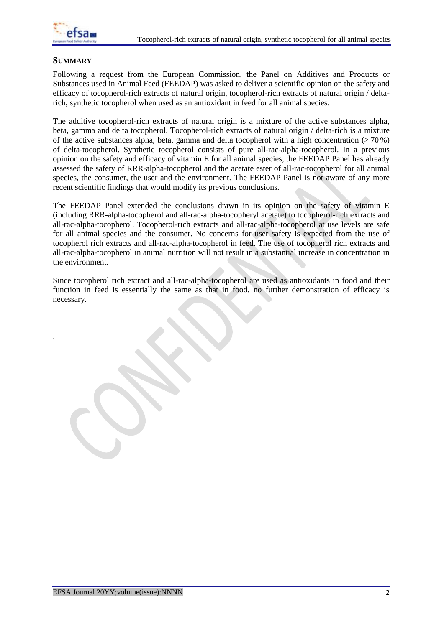

#### **SUMMARY**

.

Following a request from the European Commission, the Panel on Additives and Products or Substances used in Animal Feed (FEEDAP) was asked to deliver a scientific opinion on the safety and efficacy of tocopherol-rich extracts of natural origin, tocopherol-rich extracts of natural origin / deltarich, synthetic tocopherol when used as an antioxidant in feed for all animal species.

The additive tocopherol-rich extracts of natural origin is a mixture of the active substances alpha, beta, gamma and delta tocopherol. Tocopherol-rich extracts of natural origin / delta-rich is a mixture of the active substances alpha, beta, gamma and delta to copherol with a high concentration ( $> 70\%$ ) of delta-tocopherol. Synthetic tocopherol consists of pure all-rac-alpha-tocopherol. In a previous opinion on the safety and efficacy of vitamin E for all animal species, the FEEDAP Panel has already assessed the safety of RRR-alpha-tocopherol and the acetate ester of all-rac-tocopherol for all animal species, the consumer, the user and the environment. The FEEDAP Panel is not aware of any more recent scientific findings that would modify its previous conclusions.

The FEEDAP Panel extended the conclusions drawn in its opinion on the safety of vitamin E (including RRR-alpha-tocopherol and all-rac-alpha-tocopheryl acetate) to tocopherol-rich extracts and all-rac-alpha-tocopherol. Tocopherol-rich extracts and all-rac-alpha-tocopherol at use levels are safe for all animal species and the consumer. No concerns for user safety is expected from the use of tocopherol rich extracts and all-rac-alpha-tocopherol in feed. The use of tocopherol rich extracts and all-rac-alpha-tocopherol in animal nutrition will not result in a substantial increase in concentration in the environment.

Since tocopherol rich extract and all-rac-alpha-tocopherol are used as antioxidants in food and their function in feed is essentially the same as that in food, no further demonstration of efficacy is necessary.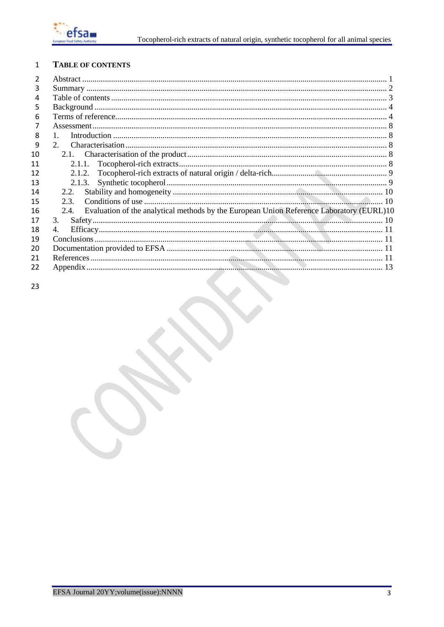#### $\mathbf{1}$ TABLE OF CONTENTS

| 3  |                                                                                                  |  |
|----|--------------------------------------------------------------------------------------------------|--|
| 4  |                                                                                                  |  |
| 5. |                                                                                                  |  |
| 6  |                                                                                                  |  |
|    |                                                                                                  |  |
| 8  |                                                                                                  |  |
| 9  | 2.                                                                                               |  |
| 10 |                                                                                                  |  |
| 11 |                                                                                                  |  |
| 12 |                                                                                                  |  |
| 13 | 2.1.3.                                                                                           |  |
| 14 | 2.2.                                                                                             |  |
| 15 | 2.3.                                                                                             |  |
| 16 | Evaluation of the analytical methods by the European Union Reference Laboratory (EURL)10<br>2.4. |  |
| 17 | 3.                                                                                               |  |
| 18 | 4.                                                                                               |  |
| 19 |                                                                                                  |  |
| 20 |                                                                                                  |  |
| 21 |                                                                                                  |  |
| 22 |                                                                                                  |  |
|    |                                                                                                  |  |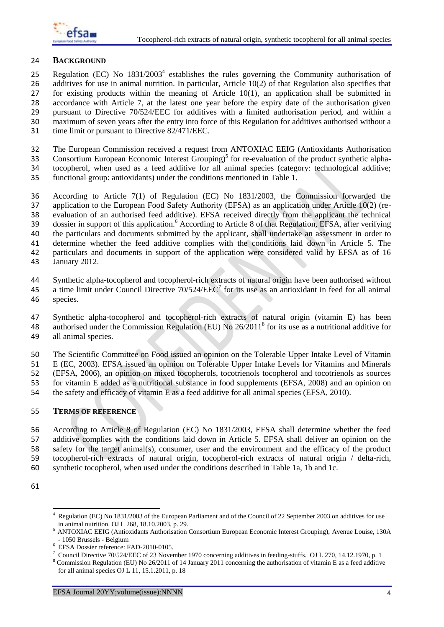

#### **BACKGROUND**

25 Regulation (EC) No  $1831/2003<sup>4</sup>$  establishes the rules governing the Community authorisation of additives for use in animal nutrition. In particular, Article 10(2) of that Regulation also specifies that for existing products within the meaning of Article 10(1), an application shall be submitted in accordance with Article 7, at the latest one year before the expiry date of the authorisation given pursuant to Directive 70/524/EEC for additives with a limited authorisation period, and within a maximum of seven years after the entry into force of this Regulation for additives authorised without a time limit or pursuant to Directive 82/471/EEC.

- The European Commission received a request from ANTOXIAC EEIG (Antioxidants Authorisation
- 33 Consortium European Economic Interest Grouping)<sup>5</sup> for re-evaluation of the product synthetic alpha-
- tocopherol, when used as a feed additive for all animal species (category: technological additive;
- functional group: antioxidants) under the conditions mentioned in Table 1.

 According to Article 7(1) of Regulation (EC) No 1831/2003, the Commission forwarded the application to the European Food Safety Authority (EFSA) as an application under Article 10(2) (re- evaluation of an authorised feed additive). EFSA received directly from the applicant the technical 39 dossier in support of this application.<sup>6</sup> According to Article 8 of that Regulation, EFSA, after verifying the particulars and documents submitted by the applicant, shall undertake an assessment in order to determine whether the feed additive complies with the conditions laid down in Article 5. The particulars and documents in support of the application were considered valid by EFSA as of 16 January 2012.

 Synthetic alpha-tocopherol and tocopherol-rich extracts of natural origin have been authorised without 45 a time limit under Council Directive  $70/524/EEC<sup>7</sup>$  for its use as an antioxidant in feed for all animal species.

- Synthetic alpha-tocopherol and tocopherol-rich extracts of natural origin (vitamin E) has been 48 authorised under the Commission Regulation (EU) No  $26/2011^8$  for its use as a nutritional additive for all animal species.
- 

The Scientific Committee on Food issued an opinion on the Tolerable Upper Intake Level of Vitamin

E (EC, 2003). EFSA issued an opinion on Tolerable Upper Intake Levels for Vitamins and Minerals

(EFSA, 2006), an opinion on mixed tocopherols, tocotrienols tocopherol and tocotrienols as sources

for vitamin E added as a nutritional substance in food supplements (EFSA, 2008) and an opinion on

the safety and efficacy of vitamin E as a feed additive for all animal species (EFSA, 2010).

#### **TERMS OF REFERENCE**

 According to Article 8 of Regulation (EC) No 1831/2003, EFSA shall determine whether the feed additive complies with the conditions laid down in Article 5. EFSA shall deliver an opinion on the safety for the target animal(s), consumer, user and the environment and the efficacy of the product tocopherol-rich extracts of natural origin, tocopherol-rich extracts of natural origin / delta-rich, synthetic tocopherol, when used under the conditions described in Table 1a, 1b and 1c.

 $\overline{a}$  Regulation (EC) No 1831/2003 of the European Parliament and of the Council of 22 September 2003 on additives for use in animal nutrition. OJ L 268, 18.10.2003, p. 29.

<sup>&</sup>lt;sup>5</sup> ANTOXIAC EEIG (Antioxidants Authorisation Consortium European Economic Interest Grouping), Avenue Louise, 130A - 1050 Brussels - Belgium

EFSA Dossier reference: FAD-2010-0105.

Council Directive 70/524/EEC of 23 November 1970 concerning additives in feeding-stuffs. OJ L 270, 14.12.1970, p. 1

<sup>&</sup>lt;sup>8</sup> Commission Regulation (EU) No 26/2011 of 14 January 2011 concerning the authorisation of vitamin E as a feed additive for all animal species OJ L 11, 15.1.2011, p. 18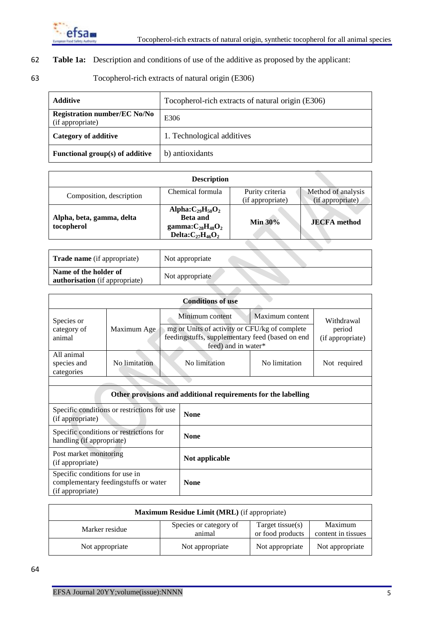# 62 **Table 1a:** Description and conditions of use of the additive as proposed by the applicant:

### 63 Tocopherol-rich extracts of natural origin (E306)

| <b>Additive</b>                                         | Tocopherol-rich extracts of natural origin (E306) |
|---------------------------------------------------------|---------------------------------------------------|
| <b>Registration number/EC No/No</b><br>(if appropriate) | E306                                              |
| <b>Category of additive</b>                             | 1. Technological additives                        |
| Functional group(s) of additive                         | b) antioxidants                                   |

|                                         | <b>Description</b>                                                                                  |                                     |                                        |
|-----------------------------------------|-----------------------------------------------------------------------------------------------------|-------------------------------------|----------------------------------------|
| Composition, description                | Chemical formula                                                                                    | Purity criteria<br>(if appropriate) | Method of analysis<br>(if appropriate) |
| Alpha, beta, gamma, delta<br>tocopherol | Alpha: $C_{29}H_{50}O_2$<br><b>Beta</b> and<br>gamma: $C_{28}H_{48}O_2$<br>Delta: $C_{27}H_{46}O_2$ | Min $30\%$                          | <b>JECFA</b> method                    |

| <b>Trade name</b> (if appropriate)                             | Not appropriate |
|----------------------------------------------------------------|-----------------|
| Name of the holder of<br><b>authorisation</b> (if appropriate) | Not appropriate |

**START** 

| <b>Conditions of use</b>                                                                   |               |  |                                                                                                                         |                 |                            |
|--------------------------------------------------------------------------------------------|---------------|--|-------------------------------------------------------------------------------------------------------------------------|-----------------|----------------------------|
| Species or                                                                                 |               |  | Minimum content                                                                                                         | Maximum content | Withdrawal                 |
| category of<br>animal                                                                      | Maximum Age   |  | mg or Units of activity or CFU/kg of complete<br>feedingstuffs, supplementary feed (based on end<br>feed) and in water* |                 | period<br>(if appropriate) |
| All animal<br>species and<br>categories                                                    | No limitation |  | No limitation                                                                                                           | No limitation   | Not required               |
|                                                                                            |               |  |                                                                                                                         |                 |                            |
|                                                                                            |               |  | Other provisions and additional requirements for the labelling                                                          |                 |                            |
| Specific conditions or restrictions for use.<br>(if appropriate)                           |               |  | <b>None</b>                                                                                                             |                 |                            |
| Specific conditions or restrictions for<br>handling (if appropriate)                       |               |  | <b>None</b>                                                                                                             |                 |                            |
| Post market monitoring<br>(if appropriate)                                                 |               |  | Not applicable                                                                                                          |                 |                            |
| Specific conditions for use in<br>complementary feedingstuffs or water<br>(if appropriate) |               |  | <b>None</b>                                                                                                             |                 |                            |

| Maximum Residue Limit (MRL) (if appropriate) |                                  |                                         |                               |  |  |
|----------------------------------------------|----------------------------------|-----------------------------------------|-------------------------------|--|--|
| Marker residue                               | Species or category of<br>animal | Target tissue $(s)$<br>or food products | Maximum<br>content in tissues |  |  |
| Not appropriate                              | Not appropriate                  | Not appropriate                         | Not appropriate               |  |  |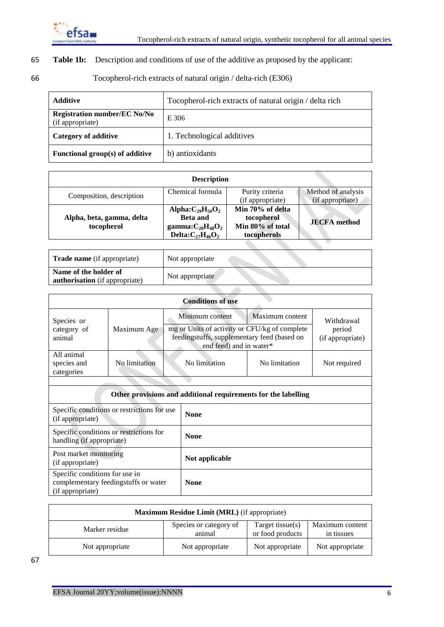

## 65 **Table 1b:** Description and conditions of use of the additive as proposed by the applicant:

### 66 Tocopherol-rich extracts of natural origin / delta-rich (E306)

| <b>Additive</b>                                         | Tocopherol-rich extracts of natural origin / delta rich |
|---------------------------------------------------------|---------------------------------------------------------|
| <b>Registration number/EC No/No</b><br>(if appropriate) | E 306                                                   |
| <b>Category of additive</b>                             | 1. Technological additives                              |
| Functional group(s) of additive                         | b) antioxidants                                         |

|                                         | <b>Description</b>                                                                                  |                                                                   |                     |
|-----------------------------------------|-----------------------------------------------------------------------------------------------------|-------------------------------------------------------------------|---------------------|
|                                         | Chemical formula                                                                                    | Purity criteria                                                   | Method of analysis  |
| Composition, description                |                                                                                                     | (if appropriate)                                                  | (if appropriate)    |
| Alpha, beta, gamma, delta<br>tocopherol | Alpha: $C_{29}H_{50}O_2$<br><b>Beta and</b><br>gamma: $C_{28}H_{48}O_2$<br>Delta: $C_{27}H_{46}O_2$ | Min 70% of delta<br>tocopherol<br>Min 80% of total<br>tocopherols | <b>JECFA</b> method |

| <b>Trade name</b> (if appropriate)                             | Not appropriate |
|----------------------------------------------------------------|-----------------|
| Name of the holder of<br><b>authorisation</b> (if appropriate) | Not appropriate |
|                                                                |                 |

| <b>Conditions of use</b>                                                                   |               |  |                                                                |                                                                                                                                            |              |  |
|--------------------------------------------------------------------------------------------|---------------|--|----------------------------------------------------------------|--------------------------------------------------------------------------------------------------------------------------------------------|--------------|--|
| Species or<br>category of<br>animal                                                        | Maximum Age   |  | Minimum content                                                | Maximum content<br>mg or Units of activity or CFU/kg of complete<br>feedingstuffs, supplementary feed (based on<br>end feed) and in water* |              |  |
| All animal<br>species and<br>categories                                                    | No limitation |  | No limitation                                                  | No limitation                                                                                                                              | Not required |  |
|                                                                                            |               |  |                                                                |                                                                                                                                            |              |  |
|                                                                                            |               |  | Other provisions and additional requirements for the labelling |                                                                                                                                            |              |  |
| Specific conditions or restrictions for use<br>(if appropriate)                            |               |  | <b>None</b>                                                    |                                                                                                                                            |              |  |
| Specific conditions or restrictions for<br>handling (if appropriate)                       |               |  | <b>None</b>                                                    |                                                                                                                                            |              |  |
| Post market monitoring<br>(if appropriate)                                                 |               |  | Not applicable                                                 |                                                                                                                                            |              |  |
| Specific conditions for use in<br>complementary feedingstuffs or water<br>(if appropriate) |               |  | <b>None</b>                                                    |                                                                                                                                            |              |  |

| Maximum Residue Limit (MRL) (if appropriate) |                                  |                                         |                               |  |  |
|----------------------------------------------|----------------------------------|-----------------------------------------|-------------------------------|--|--|
| Marker residue                               | Species or category of<br>animal | Target tissue $(s)$<br>or food products | Maximum content<br>in tissues |  |  |
| Not appropriate                              | Not appropriate                  | Not appropriate                         | Not appropriate               |  |  |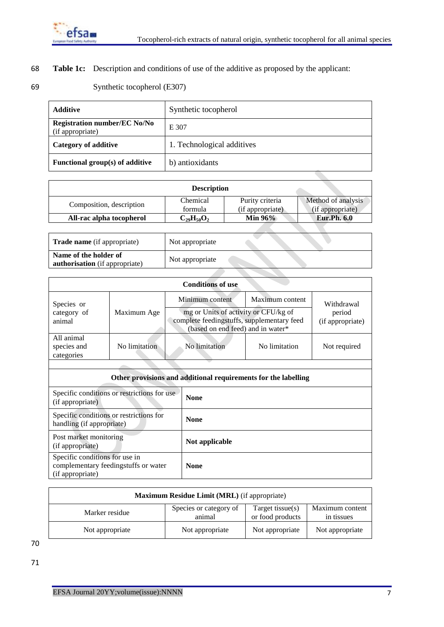

- 68 **Table 1c:** Description and conditions of use of the additive as proposed by the applicant:
- 69 Synthetic tocopherol (E307)

| <b>Additive</b>                                         | Synthetic tocopherol       |
|---------------------------------------------------------|----------------------------|
| <b>Registration number/EC No/No</b><br>(if appropriate) | E 307                      |
| <b>Category of additive</b>                             | 1. Technological additives |
| Functional group(s) of additive                         | b) antioxidants            |

|                          | <b>Description</b>  |                                     |                                        |
|--------------------------|---------------------|-------------------------------------|----------------------------------------|
| Composition, description | Chemical<br>formula | Purity criteria<br>(if appropriate) | Method of analysis<br>(if appropriate) |
| All-rac alpha tocopherol | $C_{29}H_{50}O_2$   | Min $96\%$                          | <b>Eur.Ph. 6.0</b>                     |

| <b>Trade name</b> (if appropriate)                             | Not appropriate |  |
|----------------------------------------------------------------|-----------------|--|
| Name of the holder of<br><b>authorisation</b> (if appropriate) | Not appropriate |  |

| <b>Conditions of use</b>                                       |               |                                                                                                                          |               |                                          |  |
|----------------------------------------------------------------|---------------|--------------------------------------------------------------------------------------------------------------------------|---------------|------------------------------------------|--|
| Species or<br>category of<br>Maximum Age<br>animal             |               | Minimum content<br>Maximum content<br>mg or Units of activity or CFU/kg of<br>complete feedingstuffs, supplementary feed |               | Withdrawal<br>period<br>(if appropriate) |  |
|                                                                |               | (based on end feed) and in water*                                                                                        |               |                                          |  |
| All animal<br>species and<br>categories                        | No limitation | No limitation                                                                                                            | No limitation | Not required                             |  |
|                                                                |               |                                                                                                                          |               |                                          |  |
| Other provisions and additional requirements for the labelling |               |                                                                                                                          |               |                                          |  |

| Specific conditions or restrictions for use<br>(if appropriate)                            | <b>None</b>    |
|--------------------------------------------------------------------------------------------|----------------|
| Specific conditions or restrictions for<br>handling (if appropriate)                       | <b>None</b>    |
| Post market monitoring<br>(if appropriate)                                                 | Not applicable |
| Specific conditions for use in<br>complementary feedingstuffs or water<br>(if appropriate) | <b>None</b>    |

| Maximum Residue Limit (MRL) (if appropriate) |                                  |                                         |                               |  |
|----------------------------------------------|----------------------------------|-----------------------------------------|-------------------------------|--|
| Marker residue                               | Species or category of<br>animal | Target tissue $(s)$<br>or food products | Maximum content<br>in tissues |  |
| Not appropriate                              | Not appropriate                  | Not appropriate                         | Not appropriate               |  |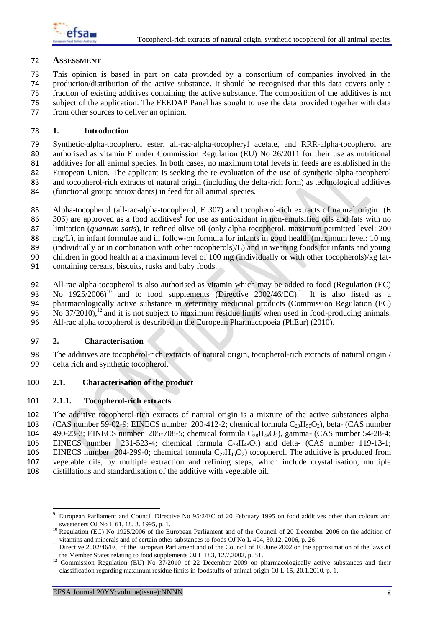

#### **ASSESSMENT**

This opinion is based in part on data provided by a consortium of companies involved in the

 production/distribution of the active substance. It should be recognised that this data covers only a fraction of existing additives containing the active substance. The composition of the additives is not

 subject of the application. The FEEDAP Panel has sought to use the data provided together with data from other sources to deliver an opinion.

#### **1. Introduction**

 Synthetic-alpha-tocopherol ester, all-rac-alpha-tocopheryl acetate, and RRR-alpha-tocopherol are authorised as vitamin E under Commission Regulation (EU) No 26/2011 for their use as nutritional

additives for all animal species. In both cases, no maximum total levels in feeds are established in the

European Union. The applicant is seeking the re-evaluation of the use of synthetic-alpha-tocopherol

- and tocopherol-rich extracts of natural origin (including the delta-rich form) as technological additives
- (functional group: antioxidants) in feed for all animal species.
- Alpha-tocopherol (all-rac-alpha-tocopherol, E 307) and tocopherol-rich extracts of natural origin (E 306) are approved as a food additives<sup>9</sup> for use as antioxidant in non-emulsified oils and fats with no limitation (*quantum satis*), in refined olive oil (only alpha-tocopherol, maximum permitted level: 200 mg/L), in infant formulae and in follow-on formula for infants in good health (maximum level: 10 mg (individually or in combination with other tocopherols)/L) and in weaning foods for infants and young children in good health at a maximum level of 100 mg (individually or with other tocopherols)/kg fat-
- containing cereals, biscuits, rusks and baby foods.

 All-rac-alpha-tocopherol is also authorised as vitamin which may be added to food (Regulation (EC) 93 No  $1925/2006)^{10}$  and to food supplements (Directive  $2002/46$ /EC).<sup>11</sup> It is also listed as a pharmacologically active substance in veterinary medicinal products (Commission Regulation (EC) 95 No  $37/2010$ ,  $^{12}$  and it is not subject to maximum residue limits when used in food-producing animals. All-rac alpha tocopherol is described in the European Pharmacopoeia (PhEur) (2010).

#### **2. Characterisation**

 The additives are tocopherol-rich extracts of natural origin, tocopherol-rich extracts of natural origin / delta rich and synthetic tocopherol.

#### **2.1. Characterisation of the product**

#### **2.1.1. Tocopherol-rich extracts**

 The additive tocopherol-rich extracts of natural origin is a mixture of the active substances alpha-103 (CAS number 59-02-9; EINECS number 200-412-2; chemical formula  $C_{29}H_{50}O_2$ ), beta- (CAS number 104 490-23-3; EINECS number 205-708-5; chemical formula  $C_{28}H_{48}O_2$ ), gamma- (CAS number 54-28-4; 105 EINECS number 231-523-4; chemical formula  $C_{28}H_{48}O_2$ ) and delta- (CAS number 119-13-1; 106 EINECS number 204-299-0; chemical formula  $C_{27}H_{46}O_2$ ) tocopherol. The additive is produced from vegetable oils, by multiple extraction and refining steps, which include crystallisation, multiple distillations and standardisation of the additive with vegetable oil.

 $\overline{a}$ European Parliament and Council Directive No 95/2/EC of 20 February 1995 on food additives other than colours and sweeteners OJ No L 61, 18. 3. 1995, p. 1.

<sup>&</sup>lt;sup>10</sup> Regulation (EC) No 1925/2006 of the European Parliament and of the Council of 20 December 2006 on the addition of vitamins and minerals and of certain other substances to foods OJ No L 404, 30.12. 2006, p. 26.

<sup>&</sup>lt;sup>11</sup> Directive 2002/46/EC of the European Parliament and of the Council of 10 June 2002 on the approximation of the laws of the Member States relating to food supplements OJ L 183, 12.7.2002, p. 51.

<sup>&</sup>lt;sup>12</sup> Commission Regulation (EU) No 37/2010 of 22 December 2009 on pharmacologically active substances and their classification regarding maximum residue limits in foodstuffs of animal origin OJ L 15, 20.1.2010, p. 1.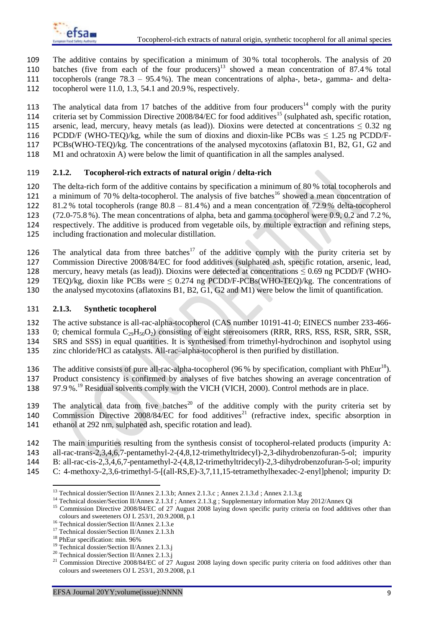

- 109 The additive contains by specification a minimum of 30 % total tocopherols. The analysis of 20
- 110 batches (five from each of the four producers)<sup>13</sup> showed a mean concentration of 87.4% total 111 tocopherols (range 78.3 – 95.4 %). The mean concentrations of alpha-, beta-, gamma- and delta-112 tocopherol were 11.0, 1.3, 54.1 and 20.9 %, respectively.
- 

113 The analytical data from 17 batches of the additive from four producers<sup>14</sup> comply with the purity 114 criteria set by Commission Directive 2008/84/EC for food additives<sup>15</sup> (sulphated ash, specific rotation, 115 arsenic, lead, mercury, heavy metals (as lead)). Dioxins were detected at concentrations  $\leq 0.32$  ng 116 PCDD/F (WHO-TEO)/kg, while the sum of dioxins and dioxin-like PCBs was  $\leq 1.25$  ng PCDD/F-117 PCBs(WHO-TEQ)/kg. The concentrations of the analysed mycotoxins (aflatoxin B1, B2, G1, G2 and 118 M1 and ochratoxin A) were below the limit of quantification in all the samples analysed.

### 119 **2.1.2. Tocopherol-rich extracts of natural origin / delta-rich**

120 The delta-rich form of the additive contains by specification a minimum of 80 % total tocopherols and 121 a minimum of 70 % delta-tocopherol. The analysis of five batches<sup>16</sup> showed a mean concentration of 81.2 % total tocopherols (range 80.8 – 81.4 %) and a mean concentration of 72.9 % delta-tocopherol (72.0-75.8 %). The mean concentrations of alpha, beta and gamma tocopherol were 0.9, 0.2 and 7.2 %, respectively. The additive is produced from vegetable oils, by multiple extraction and refining steps, including fractionation and molecular distillation.

- 126 The analytical data from three batches<sup>17</sup> of the additive comply with the purity criteria set by 127 Commission Directive 2008/84/EC for food additives (sulphated ash, specific rotation, arsenic, lead, 128 mercury, heavy metals (as lead)). Dioxins were detected at concentrations ≤ 0.69 ng PCDD/F (WHO-
- 129 TEQ)/kg, dioxin like PCBs were  $\leq 0.274$  ng PCDD/F-PCBs(WHO-TEQ)/kg. The concentrations of 130 the analysed mycotoxins (aflatoxins B1, B2, G1, G2 and M1) were below the limit of quantification.

#### 131 **2.1.3. Synthetic tocopherol**

- 132 The active substance is all-rac-alpha-tocopherol (CAS number 10191-41-0; EINECS number 233-466-
- 133 0; chemical formula  $C_{29}H_{50}O_2$ ) consisting of eight stereoisomers (RRR, RRS, RSS, RSR, SRR, SSR,
- 134 SRS and SSS) in equal quantities. It is synthesised from trimethyl-hydrochinon and isophytol using
- 135 zinc chloride/HCl as catalysts. All-rac–alpha-tocopherol is then purified by distillation.

136 The additive consists of pure all-rac-alpha-tocopherol (96 % by specification, compliant with PhEur<sup>18</sup>). 137 Product consistency is confirmed by analyses of five batches showing an average concentration of 138 97.9 %<sup>19</sup> Residual solvents comply with the VICH (VICH, 2000). Control methods are in place.

- The analytical data from five batches<sup>20</sup> of the additive comply with the purity criteria set by 140 Commission Directive  $2008/84/EC$  for food additives<sup>21</sup> (refractive index, specific absorption in 141 ethanol at 292 nm, sulphated ash, specific rotation and lead).
- 
- 142 The main impurities resulting from the synthesis consist of tocopherol-related products (impurity A:
- 143 all-rac-trans-2,3,4,6,7-pentamethyl-2-(4,8,12-trimethyltridecyl)-2,3-dihydrobenzofuran-5-ol; impurity
- 144 B: all-rac-cis-2,3,4,6,7-pentamethyl-2-(4,8,12-trimethyltridecyl)-2,3-dihydrobenzofuran-5-ol; impurity
- 145 C: 4-methoxy-2,3,6-trimethyl-5-[(all-RS,E)-3,7,11,15-tetramethylhexadec-2-enyl]phenol; impurity D:

l

<sup>&</sup>lt;sup>13</sup> Technical dossier/Section II/Annex 2.1.3.b; Annex 2.1.3.c ; Annex 2.1.3.d ; Annex 2.1.3.g

<sup>&</sup>lt;sup>14</sup> Technical dossier/Section II/Annex 2.1.3.f ; Annex 2.1.3.g ; Supplementary information May 2012/Annex Qi

<sup>&</sup>lt;sup>15</sup> Commission Directive 2008/84/EC of 27 August 2008 laying down specific purity criteria on food additives other than colours and sweeteners OJ L 253/1, 20.9.2008, p.1

<sup>16</sup> Technical dossier/Section II/Annex 2.1.3.e

<sup>17</sup> Technical dossier/Section II/Annex 2.1.3.h

<sup>18</sup> PhEur specification: min. 96%

<sup>19</sup> Technical dossier/Section II/Annex 2.1.3.j

<sup>&</sup>lt;sup>20</sup> Technical dossier/Section II/Annex 2.1.3.j

<sup>&</sup>lt;sup>21</sup> Commission Directive 2008/84/EC of  $27$  August 2008 laying down specific purity criteria on food additives other than colours and sweeteners OJ L 253/1, 20.9.2008, p.1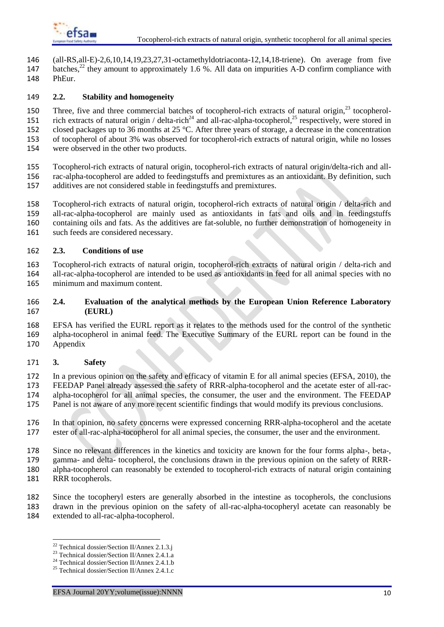- (all-RS,all-E)-2,6,10,14,19,23,27,31-octamethyldotriaconta-12,14,18-triene). On average from five
- 147 batches,<sup>22</sup> they amount to approximately 1.6 %. All data on impurities A-D confirm compliance with
- PhEur.

#### **2.2. Stability and homogeneity**

150 Three, five and three commercial batches of tocopherol-rich extracts of natural origin,  $^{23}$  tocopherol-151 rich extracts of natural origin / delta-rich<sup>24</sup> and all-rac-alpha-tocopherol,<sup>25</sup> respectively, were stored in 152 closed packages up to 36 months at  $25 \text{ °C}$ . After three years of storage, a decrease in the concentration of tocopherol of about 3% was observed for tocopherol-rich extracts of natural origin, while no losses were observed in the other two products.

- Tocopherol-rich extracts of natural origin, tocopherol-rich extracts of natural origin/delta-rich and all-rac-alpha-tocopherol are added to feedingstuffs and premixtures as an antioxidant. By definition, such
- additives are not considered stable in feedingstuffs and premixtures.

 Tocopherol-rich extracts of natural origin, tocopherol-rich extracts of natural origin / delta-rich and all-rac-alpha-tocopherol are mainly used as antioxidants in fats and oils and in feedingstuffs containing oils and fats. As the additives are fat-soluble, no further demonstration of homogeneity in such feeds are considered necessary.

#### **2.3. Conditions of use**

 Tocopherol-rich extracts of natural origin, tocopherol-rich extracts of natural origin / delta-rich and all-rac-alpha-tocopherol are intended to be used as antioxidants in feed for all animal species with no minimum and maximum content.

#### **2.4. Evaluation of the analytical methods by the European Union Reference Laboratory (EURL)**

 EFSA has verified the EURL report as it relates to the methods used for the control of the synthetic alpha-tocopherol in animal feed. The Executive Summary of the EURL report can be found in the Appendix

#### **3. Safety**

 In a previous opinion on the safety and efficacy of vitamin E for all animal species (EFSA, 2010), the FEEDAP Panel already assessed the safety of RRR-alpha-tocopherol and the acetate ester of all-rac- alpha-tocopherol for all animal species, the consumer, the user and the environment. The FEEDAP Panel is not aware of any more recent scientific findings that would modify its previous conclusions.

- In that opinion, no safety concerns were expressed concerning RRR-alpha-tocopherol and the acetate ester of all-rac-alpha-tocopherol for all animal species, the consumer, the user and the environment.
- Since no relevant differences in the kinetics and toxicity are known for the four forms alpha-, beta-, gamma- and delta- tocopherol, the conclusions drawn in the previous opinion on the safety of RRR-
- alpha-tocopherol can reasonably be extended to tocopherol-rich extracts of natural origin containing
- RRR tocopherols.

 $\overline{\phantom{a}}$ 

 Since the tocopheryl esters are generally absorbed in the intestine as tocopherols, the conclusions drawn in the previous opinion on the safety of all-rac-alpha-tocopheryl acetate can reasonably be extended to all-rac-alpha-tocopherol.

Technical dossier/Section II/Annex 2.1.3.j

Technical dossier/Section II/Annex 2.4.1.a

Technical dossier/Section II/Annex 2.4.1.b

Technical dossier/Section II/Annex 2.4.1.c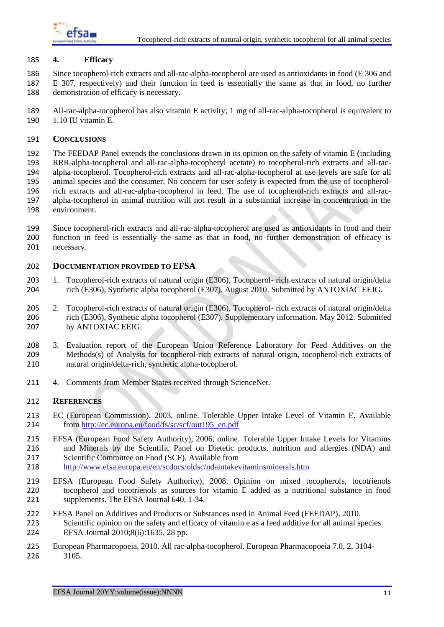# etsa

#### **4. Efficacy**

 Since tocopherol-rich extracts and all-rac-alpha-tocopherol are used as antioxidants in food (E 306 and E 307, respectively) and their function in feed is essentially the same as that in food, no further demonstration of efficacy is necessary.

189 All-rac-alpha-tocopherol has also vitamin E activity; 1 mg of all-rac-alpha-tocopherol is equivalent to 190 1.10 IU vitamin E. 1.10 IU vitamin E.

#### **CONCLUSIONS**

 The FEEDAP Panel extends the conclusions drawn in its opinion on the safety of vitamin E (including RRR-alpha-tocopherol and all-rac-alpha-tocopheryl acetate) to tocopherol-rich extracts and all-rac- alpha-tocopherol. Tocopherol-rich extracts and all-rac-alpha-tocopherol at use levels are safe for all animal species and the consumer. No concern for user safety is expected from the use of tocopherol- rich extracts and all-rac-alpha-tocopherol in feed. The use of tocopherol-rich extracts and all-rac- alpha-tocopherol in animal nutrition will not result in a substantial increase in concentration in the environment.

 Since tocopherol-rich extracts and all-rac-alpha-tocopherol are used as antioxidants in food and their function in feed is essentially the same as that in food, no further demonstration of efficacy is necessary.

#### **DOCUMENTATION PROVIDED TO EFSA**

- 203 1. Tocopherol-rich extracts of natural origin (E306), Tocopherol- rich extracts of natural origin/delta<br>204 rich (E306), Synthetic alpha tocopherol (E307). August 2010. Submitted by ANTOXIAC EEIG. rich (E306), Synthetic alpha tocopherol (E307). August 2010. Submitted by ANTOXIAC EEIG.
- 205 2. Tocopherol-rich extracts of natural origin (E306), Tocopherol- rich extracts of natural origin/delta rich (E306), Synthetic alpha tocopherol (E307). Supplementary information. May 2012. Submitted by ANTOXIAC EEIG.
- 3. Evaluation report of the European Union Reference Laboratory for Feed Additives on the Methods(s) of Analysis for tocopherol-rich extracts of natural origin, tocopherol-rich extracts of natural origin/delta-rich, synthetic alpha-tocopherol.
- 211 4. Comments from Member States received through ScienceNet.

#### **REFERENCES**

- EC (European Commission), 2003, online. Tolerable Upper Intake Level of Vitamin E. Available from [http://ec.europa.eu/food/fs/sc/scf/out195\\_en.pdf](http://ec.europa.eu/food/fs/sc/scf/out195_en.pdf)
- EFSA (European Food Safety Authority), 2006, online. Tolerable Upper Intake Levels for Vitamins and Minerals by the Scientific Panel on Dietetic products, nutrition and allergies (NDA) and 217 Scientific Committee on Food (SCF). Available from
- <http://www.efsa.europa.eu/en/scdocs/oldsc/ndaintakevitaminsminerals.htm>
- EFSA (European Food Safety Authority), 2008. Opinion on mixed tocopherols, tocotrienols tocopherol and tocotrienols as sources for vitamin E added as a nutritional substance in food supplements. The EFSA Journal 640, 1-34.
- EFSA Panel on Additives and Products or Substances used in Animal Feed (FEEDAP), 2010.
- Scientific opinion on the safety and efficacy of vitamin e as a feed additive for all animal species. EFSA Journal 2010;8(6):1635, 28 pp.
- European Pharmacopoeia, 2010. All rac-alpha-tocopherol. European Pharmacopoeia 7.0, 2, 3104- 3105.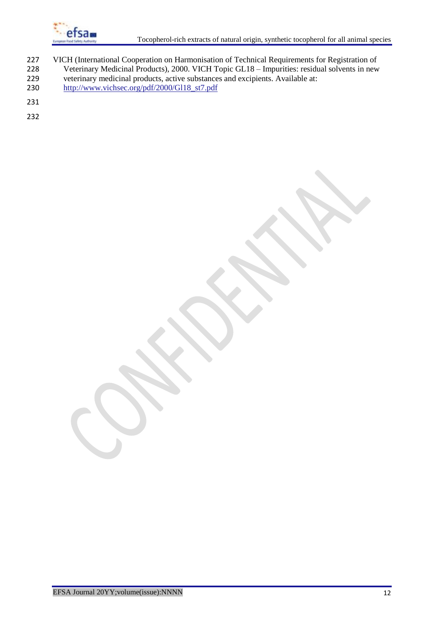

- 227 VICH (International Cooperation on Harmonisation of Technical Requirements for Registration of 228 Veterinary Medicinal Products), 2000. VICH Topic GL18 – Impurities: residual solvents in new<br>229 veterinary medicinal products, active substances and excipients. Available at: 229 veterinary medicinal products, active substances and excipients. Available at:<br>230 http://www.vichsec.org/pdf/2000/Gl18 st7.pdf
- [http://www.vichsec.org/pdf/2000/Gl18\\_st7.pdf](http://www.vichsec.org/pdf/2000/Gl18_st7.pdf)
- 231
- 232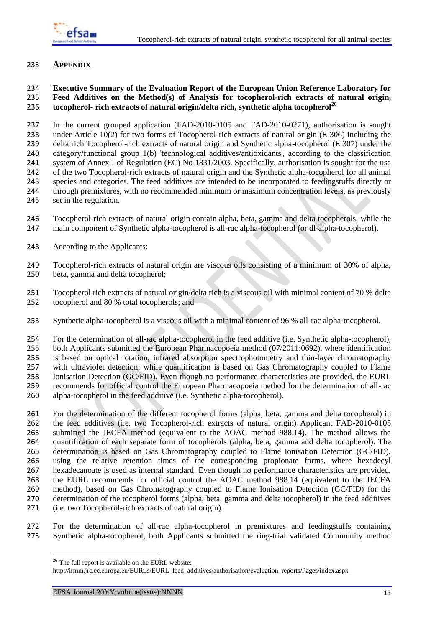

#### **APPENDIX**

#### **Executive Summary of the Evaluation Report of the European Union Reference Laboratory for Feed Additives on the Method(s) of Analysis for tocopherol-rich extracts of natural origin, tocopherol- rich extracts of natural origin/delta rich, synthetic alpha tocopherol<sup>26</sup>**

 In the current grouped application (FAD-2010-0105 and FAD-2010-0271), authorisation is sought 238 under Article 10(2) for two forms of Tocopherol-rich extracts of natural origin (E 306) including the delta rich Tocopherol-rich extracts of natural origin and Synthetic alpha-tocopherol (E 307) under the category/functional group 1(b) 'technological additives/antioxidants', according to the classification system of Annex I of Regulation (EC) No 1831/2003. Specifically, authorisation is sought for the use of the two Tocopherol-rich extracts of natural origin and the Synthetic alpha-tocopherol for all animal species and categories. The feed additives are intended to be incorporated to feedingstuffs directly or through premixtures, with no recommended minimum or maximum concentration levels, as previously set in the regulation.

- Tocopherol-rich extracts of natural origin contain alpha, beta, gamma and delta tocopherols, while the main component of Synthetic alpha-tocopherol is all-rac alpha-tocopherol (or dl-alpha-tocopherol).
- According to the Applicants:
- Tocopherol-rich extracts of natural origin are viscous oils consisting of a minimum of 30% of alpha, 250 beta, gamma and delta tocopherol;
- Tocopherol rich extracts of natural origin/delta rich is a viscous oil with minimal content of 70 % delta tocopherol and 80 % total tocopherols; and
- Synthetic alpha-tocopherol is a viscous oil with a minimal content of 96 % all-rac alpha-tocopherol.

 For the determination of all-rac alpha-tocopherol in the feed additive (i.e. Synthetic alpha-tocopherol), 255 both Applicants submitted the European Pharmacopoeia method (07/2011:0692), where identification is based on optical rotation, infrared absorption spectrophotometry and thin-layer chromatography with ultraviolet detection; while quantification is based on Gas Chromatography coupled to Flame Ionisation Detection (GC/FID). Even though no performance characteristics are provided, the EURL recommends for official control the European Pharmacopoeia method for the determination of all-rac

alpha-tocopherol in the feed additive (i.e. Synthetic alpha-tocopherol).

 For the determination of the different tocopherol forms (alpha, beta, gamma and delta tocopherol) in the feed additives (i.e. two Tocopherol-rich extracts of natural origin) Applicant FAD-2010-0105 submitted the JECFA method (equivalent to the AOAC method 988.14). The method allows the quantification of each separate form of tocopherols (alpha, beta, gamma and delta tocopherol). The determination is based on Gas Chromatography coupled to Flame Ionisation Detection (GC/FID), using the relative retention times of the corresponding propionate forms, where hexadecyl hexadecanoate is used as internal standard. Even though no performance characteristics are provided, the EURL recommends for official control the AOAC method 988.14 (equivalent to the JECFA method), based on Gas Chromatography coupled to Flame Ionisation Detection (GC/FID) for the determination of the tocopherol forms (alpha, beta, gamma and delta tocopherol) in the feed additives (i.e. two Tocopherol-rich extracts of natural origin).

272 For the determination of all-rac alpha-tocopherol in premixtures and feedingstuffs containing<br>273 Synthetic alpha-tocopherol, both Applicants submitted the ring-trial validated Community method Synthetic alpha-tocopherol, both Applicants submitted the ring-trial validated Community method

 $\overline{a}$ 

 The full report is available on the EURL website: http://irmm.jrc.ec.europa.eu/EURLs/EURL\_feed\_additives/authorisation/evaluation\_reports/Pages/index.aspx